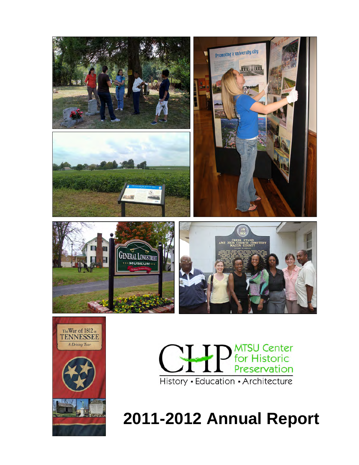





**2011-2012 Annual Report**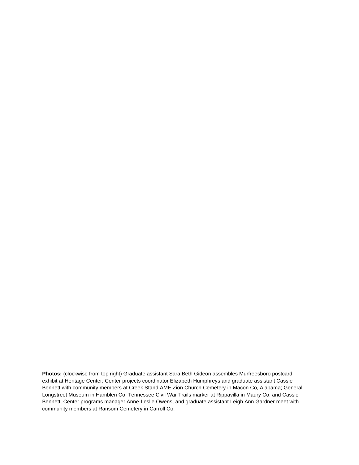**Photos:** (clockwise from top right) Graduate assistant Sara Beth Gideon assembles Murfreesboro postcard exhibit at Heritage Center; Center projects coordinator Elizabeth Humphreys and graduate assistant Cassie Bennett with community members at Creek Stand AME Zion Church Cemetery in Macon Co, Alabama; General Longstreet Museum in Hamblen Co; Tennessee Civil War Trails marker at Rippavilla in Maury Co; and Cassie Bennett, Center programs manager Anne-Leslie Owens, and graduate assistant Leigh Ann Gardner meet with community members at Ransom Cemetery in Carroll Co.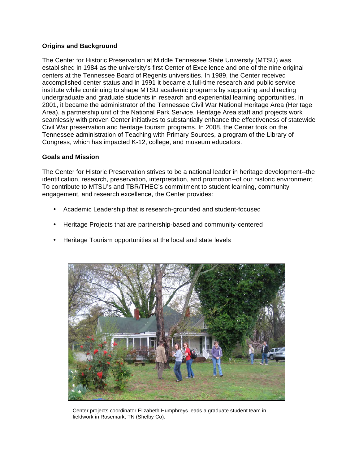# **Origins and Background**

The Center for Historic Preservation at Middle Tennessee State University (MTSU) was established in 1984 as the university's first Center of Excellence and one of the nine original centers at the Tennessee Board of Regents universities. In 1989, the Center received accomplished center status and in 1991 it became a full-time research and public service institute while continuing to shape MTSU academic programs by supporting and directing undergraduate and graduate students in research and experiential learning opportunities. In 2001, it became the administrator of the Tennessee Civil War National Heritage Area (Heritage Area), a partnership unit of the National Park Service. Heritage Area staff and projects work seamlessly with proven Center initiatives to substantially enhance the effectiveness of statewide Civil War preservation and heritage tourism programs. In 2008, the Center took on the Tennessee administration of Teaching with Primary Sources, a program of the Library of Congress, which has impacted K-12, college, and museum educators.

### **Goals and Mission**

The Center for Historic Preservation strives to be a national leader in heritage development--the identification, research, preservation, interpretation, and promotion--of our historic environment. To contribute to MTSU's and TBR/THEC's commitment to student learning, community engagement, and research excellence, the Center provides:

- Academic Leadership that is research-grounded and student-focused
- Heritage Projects that are partnership-based and community-centered
- Heritage Tourism opportunities at the local and state levels



Center projects coordinator Elizabeth Humphreys leads a graduate student team in fieldwork in Rosemark, TN (Shelby Co).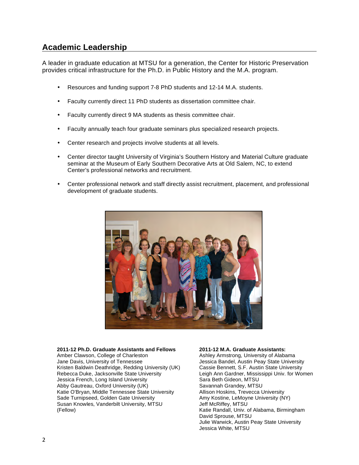# **Academic Leadership**

A leader in graduate education at MTSU for a generation, the Center for Historic Preservation provides critical infrastructure for the Ph.D. in Public History and the M.A. program.

- Resources and funding support 7-8 PhD students and 12-14 M.A. students.
- Faculty currently direct 11 PhD students as dissertation committee chair.
- Faculty currently direct 9 MA students as thesis committee chair.
- Faculty annually teach four graduate seminars plus specialized research projects.
- Center research and projects involve students at all levels.
- Center director taught University of Virginia's Southern History and Material Culture graduate seminar at the Museum of Early Southern Decorative Arts at Old Salem, NC, to extend Center's professional networks and recruitment.
- Center professional network and staff directly assist recruitment, placement, and professional development of graduate students.



#### **2011-12 Ph.D. Graduate Assistants and Fellows**

Amber Clawson, College of Charleston Jane Davis, University of Tennessee Kristen Baldwin Deathridge, Redding University (UK) Rebecca Duke, Jacksonville State University Jessica French, Long Island University Abby Gautreau, Oxford University (UK) Katie O'Bryan, Middle Tennessee State University Sade Turnipseed, Golden Gate University Susan Knowles, Vanderbilt University, MTSU (Fellow)

**2011-12 M.A. Graduate Assistants:** Ashley Armstrong, University of Alabama Jessica Bandel, Austin Peay State University Cassie Bennett, S.F. Austin State University Leigh Ann Gardner, Mississippi Univ. for Women Sara Beth Gideon, MTSU Savannah Grandey, MTSU Allison Hoskins, Trevecca University Amy Kostine, LeMoyne University (NY) Jeff McRiffey, MTSU Katie Randall, Univ. of Alabama, Birmingham David Sprouse, MTSU Julie Warwick, Austin Peay State University Jessica White, MTSU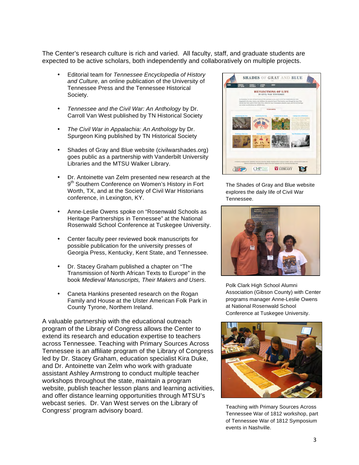The Center's research culture is rich and varied. All faculty, staff, and graduate students are expected to be active scholars, both independently and collaboratively on multiple projects.

- Editorial team for *Tennessee Encyclopedia of History and Culture*, an online publication of the University of Tennessee Press and the Tennessee Historical Society.
- *Tennessee and the Civil War: An Anthology* by Dr. Carroll Van West published by TN Historical Society
- *The Civil War in Appalachia: An Anthology* by Dr. Spurgeon King published by TN Historical Society
- Shades of Gray and Blue website (civilwarshades.org) goes public as a partnership with Vanderbilt University Libraries and the MTSU Walker Library.
- Dr. Antoinette van Zelm presented new research at the 9<sup>th</sup> Southern Conference on Women's History in Fort Worth, TX, and at the Society of Civil War Historians conference, in Lexington, KY.
- Anne-Leslie Owens spoke on "Rosenwald Schools as Heritage Partnerships in Tennessee" at the National Rosenwald School Conference at Tuskegee University.
- Center faculty peer reviewed book manuscripts for possible publication for the university presses of Georgia Press, Kentucky, Kent State, and Tennessee.
- Dr. Stacey Graham published a chapter on "The Transmission of North African Texts to Europe" in the book *Medieval Manuscripts, Their Makers and Users*.
- Caneta Hankins presented research on the Rogan Family and House at the Ulster American Folk Park in County Tyrone, Northern Ireland.

A valuable partnership with the educational outreach program of the Library of Congress allows the Center to extend its research and education expertise to teachers across Tennessee. Teaching with Primary Sources Across Tennessee is an affiliate program of the Library of Congress led by Dr. Stacey Graham, education specialist Kira Duke, and Dr. Antoinette van Zelm who work with graduate assistant Ashley Armstrong to conduct multiple teacher workshops throughout the state, maintain a program website, publish teacher lesson plans and learning activities, and offer distance learning opportunities through MTSU's webcast series. Dr. Van West serves on the Library of Congress' program advisory board.



The Shades of Gray and Blue website explores the daily life of Civil War Tennessee.



Polk Clark High School Alumni Association (Gibson County) with Center programs manager Anne-Leslie Owens at National Rosenwald School Conference at Tuskegee University.



Teaching with Primary Sources Across Tennessee War of 1812 workshop, part of Tennessee War of 1812 Symposium events in Nashville.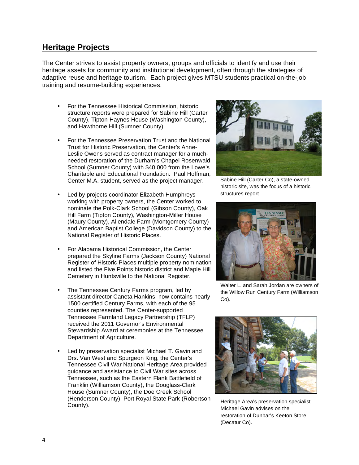# **Heritage Projects**

The Center strives to assist property owners, groups and officials to identify and use their heritage assets for community and institutional development, often through the strategies of adaptive reuse and heritage tourism. Each project gives MTSU students practical on-the-job training and resume-building experiences.

- For the Tennessee Historical Commission, historic structure reports were prepared for Sabine Hill (Carter County), Tipton-Haynes House (Washington County), and Hawthorne Hill (Sumner County).
- For the Tennessee Preservation Trust and the National Trust for Historic Preservation, the Center's Anne-Leslie Owens served as contract manager for a muchneeded restoration of the Durham's Chapel Rosenwald School (Sumner County) with \$40,000 from the Lowe's Charitable and Educational Foundation. Paul Hoffman, Center M.A. student, served as the project manager.
- Led by projects coordinator Elizabeth Humphreys working with property owners, the Center worked to nominate the Polk-Clark School (Gibson County), Oak Hill Farm (Tipton County), Washington-Miller House (Maury County), Allendale Farm (Montgomery County) and American Baptist College (Davidson County) to the National Register of Historic Places.
- For Alabama Historical Commission, the Center prepared the Skyline Farms (Jackson County) National Register of Historic Places multiple property nomination and listed the Five Points historic district and Maple Hill Cemetery in Huntsville to the National Register.
- The Tennessee Century Farms program, led by assistant director Caneta Hankins, now contains nearly 1500 certified Century Farms, with each of the 95 counties represented. The Center-supported Tennessee Farmland Legacy Partnership (TFLP) received the 2011 Governor's Environmental Stewardship Award at ceremonies at the Tennessee Department of Agriculture.
- Led by preservation specialist Michael T. Gavin and Drs. Van West and Spurgeon King, the Center's Tennessee Civil War National Heritage Area provided guidance and assistance to Civil War sites across Tennessee, such as the Eastern Flank Battlefield of Franklin (Williamson County), the Douglass-Clark House (Sumner County), the Doe Creek School (Henderson County), Port Royal State Park (Robertson County).



Sabine Hill (Carter Co), a state-owned historic site, was the focus of a historic structures report.



Walter L. and Sarah Jordan are owners of the Willow Run Century Farm (Williamson Co).



Heritage Area's preservation specialist Michael Gavin advises on the restoration of Dunbar's Keeton Store (Decatur Co).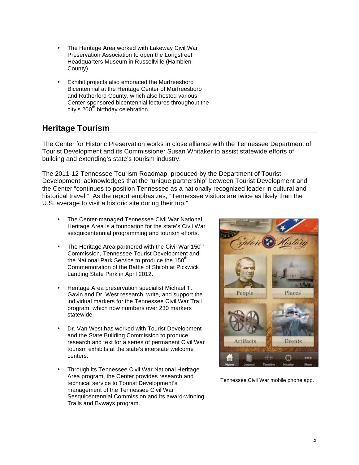- The Heritage Area worked with Lakeway Civil War Preservation Association to open the Longstreet Headquarters Museum in Russellville (Hamblen County).
- Exhibit projects also embraced the Murfreesboro Bicentennial at the Heritage Center of Murfreesboro and Rutherford County, which also hosted various Center-sponsored bicentennial lectures throughout the city's  $200<sup>th</sup>$  birthday celebration.

# **Heritage Tourism**

The Center for Historic Preservation works in close alliance with the Tennessee Department of Tourist Development and its Commissioner Susan Whitaker to assist statewide efforts of building and extending's state's tourism industry.

The 2011-12 Tennessee Tourism Roadmap, produced by the Department of Tourist Development, acknowledges that the "unique partnership" between Tourist Development and the Center "continues to position Tennessee as a nationally recognized leader in cultural and historical travel." As the report emphasizes, "Tennessee visitors are twice as likely than the U.S. average to visit a historic site during their trip."

- The Center-managed Tennessee Civil War National Heritage Area is a foundation for the state's Civil War sesquicentennial programming and tourism efforts.
- The Heritage Area partnered with the Civil War 150<sup>th</sup> Commission, Tennessee Tourist Development and the National Park Service to produce the 150<sup>th</sup> Commemoration of the Battle of Shiloh at Pickwick Landing State Park in April 2012.
- Heritage Area preservation specialist Michael T. Gavin and Dr. West research, write, and support the individual markers for the Tennessee Civil War Trail program, which now numbers over 230 markers statewide.
- Dr. Van West has worked with Tourist Development and the State Building Commission to produce research and text for a series of permanent Civil War tourism exhibits at the state's interstate welcome centers.
- Through its Tennessee Civil War National Heritage Area program, the Center provides research and technical service to Tourist Development's management of the Tennessee Civil War Sesquicentennial Commission and its award-winning Trails and Byways program.



Tennessee Civil War mobile phone app.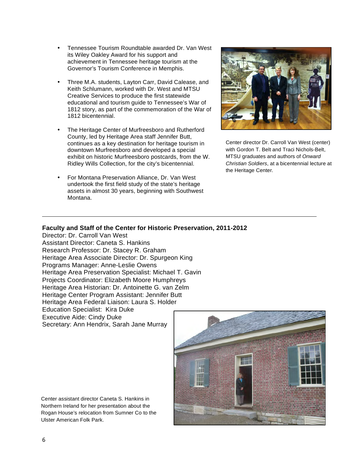- Tennessee Tourism Roundtable awarded Dr. Van West its Wiley Oakley Award for his support and achievement in Tennessee heritage tourism at the Governor's Tourism Conference in Memphis.
- Three M.A. students, Layton Carr, David Calease, and Keith Schlumann, worked with Dr. West and MTSU Creative Services to produce the first statewide educational and tourism guide to Tennessee's War of 1812 story, as part of the commemoration of the War of 1812 bicentennial.
- The Heritage Center of Murfreesboro and Rutherford County, led by Heritage Area staff Jennifer Butt, continues as a key destination for heritage tourism in downtown Murfreesboro and developed a special exhibit on historic Murfreesboro postcards, from the W. Ridley Wills Collection, for the city's bicentennial.
- For Montana Preservation Alliance, Dr. Van West undertook the first field study of the state's heritage assets in almost 30 years, beginning with Southwest Montana.



Center director Dr. Carroll Van West (center) with Gordon T. Belt and Traci Nichols-Belt, MTSU graduates and authors of *Onward Christian Soldiers*, at a bicentennial lecture at the Heritage Center.

### **Faculty and Staff of the Center for Historic Preservation, 2011-2012**

Director: Dr. Carroll Van West Assistant Director: Caneta S. Hankins Research Professor: Dr. Stacey R. Graham Heritage Area Associate Director: Dr. Spurgeon King Programs Manager: Anne-Leslie Owens Heritage Area Preservation Specialist: Michael T. Gavin Projects Coordinator: Elizabeth Moore Humphreys Heritage Area Historian: Dr. Antoinette G. van Zelm Heritage Center Program Assistant: Jennifer Butt Heritage Area Federal Liaison: Laura S. Holder Education Specialist: Kira Duke Executive Aide: Cindy Duke Secretary: Ann Hendrix, Sarah Jane Murray

Center assistant director Caneta S. Hankins in Northern Ireland for her presentation about the Rogan House's relocation from Sumner Co to the Ulster American Folk Park.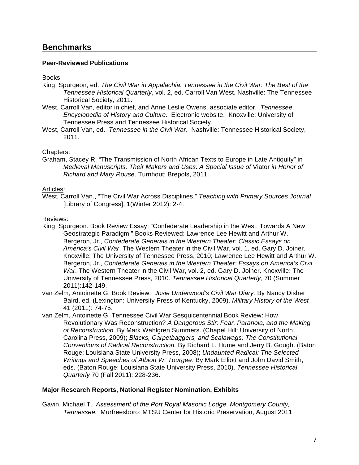# **Benchmarks**

## **Peer-Reviewed Publications**

### Books:

- King, Spurgeon, ed. *The Civil War in Appalachia. Tennessee in the Civil War: The Best of the Tennessee Historical Quarterly*, vol. 2, ed. Carroll Van West. Nashville: The Tennessee Historical Society, 2011.
- West, Carroll Van, editor in chief, and Anne Leslie Owens, associate editor. *Tennessee Encyclopedia of History and Culture*. Electronic website. Knoxville: University of Tennessee Press and Tennessee Historical Society.
- West, Carroll Van, ed. *Tennessee in the Civil War*. Nashville: Tennessee Historical Society, 2011.

#### Chapters:

Graham, Stacey R. "The Transmission of North African Texts to Europe in Late Antiquity" in *Medieval Manuscripts, Their Makers and Uses: A Special Issue of* Viator *in Honor of Richard and Mary Rouse*. Turnhout: Brepols, 2011.

#### Articles:

West, Carroll Van., "The Civil War Across Disciplines." *Teaching with Primary Sources Journal* [Library of Congress], 1(Winter 2012): 2-4.

#### Reviews:

- King, Spurgeon. Book Review Essay: "Confederate Leadership in the West: Towards A New Geostrategic Paradigm." Books Reviewed: Lawrence Lee Hewitt and Arthur W. Bergeron, Jr., *Confederate Generals in the Western Theater: Classic Essays on America's Civil War*. The Western Theater in the Civil War, vol. 1, ed. Gary D. Joiner. Knoxville: The University of Tennessee Press, 2010; Lawrence Lee Hewitt and Arthur W. Bergeron, Jr., *Confederate Generals in the Western Theater: Essays on America's Civil War*. The Western Theater in the Civil War, vol. 2, ed. Gary D. Joiner. Knoxville: The University of Tennessee Press, 2010. *Tennessee Historical Quarterly*, 70 (Summer 2011):142-149.
- van Zelm, Antoinette G. Book Review: *Josie Underwood's Civil War Diary.* By Nancy Disher Baird, ed. (Lexington: University Press of Kentucky, 2009). *Military History of the West* 41 (2011): 74-75.
- van Zelm, Antoinette G. Tennessee Civil War Sesquicentennial Book Review: How Revolutionary Was Reconstruction? *A Dangerous Stir: Fear, Paranoia, and the Making of Reconstruction.* By Mark Wahlgren Summers. (Chapel Hill: University of North Carolina Press, 2009); *Blacks, Carpetbaggers, and Scalawags: The Constitutional Conventions of Radical Reconstruction.* By Richard L. Hume and Jerry B. Gough. (Baton Rouge: Louisiana State University Press, 2008); *Undaunted Radical: The Selected Writings and Speeches of Albion W. Tourgee*. By Mark Elliott and John David Smith, eds. (Baton Rouge: Louisiana State University Press, 2010). *Tennessee Historical Quarterly* 70 (Fall 2011): 228-236.

#### **Major Research Reports, National Register Nomination, Exhibits**

Gavin, Michael T. *Assessment of the Port Royal Masonic Lodge, Montgomery County, Tennessee.* Murfreesboro: MTSU Center for Historic Preservation, August 2011.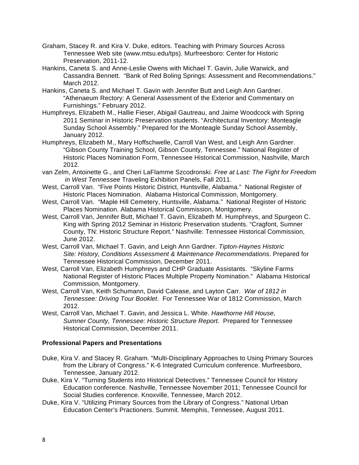- Graham, Stacey R. and Kira V. Duke, editors. Teaching with Primary Sources Across Tennessee Web site (www.mtsu.edu/tps). Murfreesboro: Center for Historic Preservation, 2011-12.
- Hankins, Caneta S. and Anne-Leslie Owens with Michael T. Gavin, Julie Warwick, and Cassandra Bennett. "Bank of Red Boling Springs: Assessment and Recommendations." March 2012.
- Hankins, Caneta S. and Michael T. Gavin with Jennifer Butt and Leigh Ann Gardner. "Athenaeum Rectory: A General Assessment of the Exterior and Commentary on Furnishings." February 2012.
- Humphreys, Elizabeth M., Hallie Fieser, Abigail Gautreau, and Jaime Woodcock with Spring 2011 Seminar in Historic Preservation students. "Architectural Inventory: Monteagle Sunday School Assembly." Prepared for the Monteagle Sunday School Assembly, January 2012.
- Humphreys, Elizabeth M., Mary Hoffschwelle, Carroll Van West, and Leigh Ann Gardner. "Gibson County Training School, Gibson County, Tennessee." National Register of Historic Places Nomination Form, Tennessee Historical Commission, Nashville, March 2012.
- van Zelm, Antoinette G., and Cheri LaFlamme Szcodronski. *Free at Last: The Fight for Freedom in West Tennessee* Traveling Exhibition Panels, Fall 2011.
- West, Carroll Van. "Five Points Historic District, Huntsville, Alabama." National Register of Historic Places Nomination. Alabama Historical Commission, Montgomery.
- West, Carroll Van. "Maple Hill Cemetery, Huntsville, Alabama." National Register of Historic Places Nomination. Alabama Historical Commission, Montgomery.
- West, Carroll Van, Jennifer Butt, Michael T. Gavin, Elizabeth M. Humphreys, and Spurgeon C. King with Spring 2012 Seminar in Historic Preservation students. "Cragfont, Sumner County, TN: Historic Structure Report." Nashville: Tennessee Historical Commission, June 2012.
- West, Carroll Van, Michael T. Gavin, and Leigh Ann Gardner. *Tipton-Haynes Historic Site: History, Conditions Assessment & Maintenance Recommendations*. Prepared for Tennessee Historical Commission, December 2011.
- West, Carroll Van, Elizabeth Humphreys and CHP Graduate Assistants. "Skyline Farms National Register of Historic Places Multiple Property Nomination." Alabama Historical Commission, Montgomery.
- West, Carroll Van, Keith Schumann, David Calease, and Layton Carr. *War of 1812 in Tennessee: Driving Tour Booklet*. For Tennessee War of 1812 Commission, March 2012.
- West, Carroll Van, Michael T. Gavin, and Jessica L. White. *Hawthorne Hill House, Sumner County, Tennessee: Historic Structure Report.* Prepared for Tennessee Historical Commission, December 2011.

# **Professional Papers and Presentations**

- Duke, Kira V. and Stacey R. Graham. "Multi-Disciplinary Approaches to Using Primary Sources from the Library of Congress." K-6 Integrated Curriculum conference. Murfreesboro, Tennessee, January 2012.
- Duke, Kira V. "Turning Students into Historical Detectives." Tennessee Council for History Education conference. Nashville, Tennessee November 2011; Tennessee Council for Social Studies conference. Knoxville, Tennessee, March 2012.
- Duke, Kira V. "Utilizing Primary Sources from the Library of Congress." National Urban Education Center's Practioners. Summit. Memphis, Tennessee, August 2011.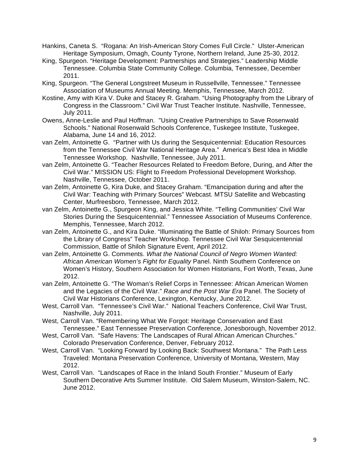- Hankins, Caneta S. "Rogana: An Irish-American Story Comes Full Circle." Ulster-American Heritage Symposium, Omagh, County Tyrone, Northern Ireland, June 25-30, 2012.
- King, Spurgeon. "Heritage Development: Partnerships and Strategies." Leadership Middle Tennessee. Columbia State Community College. Columbia, Tennessee, December 2011.
- King, Spurgeon. "The General Longstreet Museum in Russellville, Tennessee." Tennessee Association of Museums Annual Meeting. Memphis, Tennessee, March 2012.
- Kostine, Amy with Kira V. Duke and Stacey R. Graham. "Using Photography from the Library of Congress in the Classroom." Civil War Trust Teacher Institute. Nashville, Tennessee, July 2011.
- Owens, Anne-Leslie and Paul Hoffman. "Using Creative Partnerships to Save Rosenwald Schools." National Rosenwald Schools Conference, Tuskegee Institute, Tuskegee, Alabama, June 14 and 16, 2012.
- van Zelm, Antoinette G. "Partner with Us during the Sesquicentennial: Education Resources from the Tennessee Civil War National Heritage Area." America's Best Idea in Middle Tennessee Workshop. Nashville, Tennessee, July 2011.
- van Zelm, Antoinette G. "Teacher Resources Related to Freedom Before, During, and After the Civil War." MISSION US: Flight to Freedom Professional Development Workshop. Nashville, Tennessee, October 2011.
- van Zelm, Antoinette G, Kira Duke, and Stacey Graham. "Emancipation during and after the Civil War: Teaching with Primary Sources" Webcast. MTSU Satellite and Webcasting Center, Murfreesboro, Tennessee, March 2012.
- van Zelm, Antoinette G., Spurgeon King, and Jessica White. "Telling Communities' Civil War Stories During the Sesquicentennial." Tennessee Association of Museums Conference. Memphis, Tennessee, March 2012.
- van Zelm, Antoinette G., and Kira Duke. "Illuminating the Battle of Shiloh: Primary Sources from the Library of Congress" Teacher Workshop. Tennessee Civil War Sesquicentennial Commission, Battle of Shiloh Signature Event, April 2012.
- van Zelm, Antoinette G. Comments. *What the National Council of Negro Women Wanted: African American Women's Fight for Equality* Panel. Ninth Southern Conference on Women's History, Southern Association for Women Historians, Fort Worth, Texas, June 2012.
- van Zelm, Antoinette G. "The Woman's Relief Corps in Tennessee: African American Women and the Legacies of the Civil War." *Race and the Post War Era* Panel. The Society of Civil War Historians Conference, Lexington, Kentucky, June 2012.
- West, Carroll Van. "Tennessee's Civil War." National Teachers Conference, Civil War Trust, Nashville, July 2011.
- West, Carroll Van. "Remembering What We Forgot: Heritage Conservation and East Tennessee." East Tennessee Preservation Conference, Jonesborough, November 2012.
- West, Carroll Van. "Safe Havens: The Landscapes of Rural African American Churches." Colorado Preservation Conference, Denver, February 2012.
- West, Carroll Van. "Looking Forward by Looking Back: Southwest Montana." The Path Less Traveled: Montana Preservation Conference, University of Montana, Western, May 2012.
- West, Carroll Van. "Landscapes of Race in the Inland South Frontier." Museum of Early Southern Decorative Arts Summer Institute. Old Salem Museum, Winston-Salem, NC. June 2012.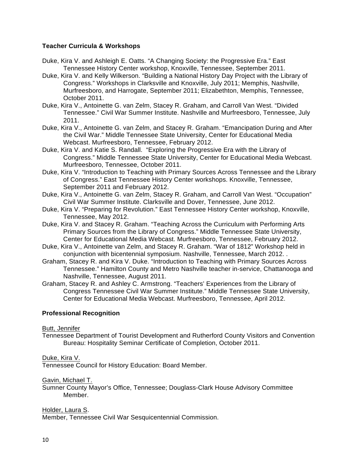## **Teacher Curricula & Workshops**

- Duke, Kira V. and Ashleigh E. Oatts. "A Changing Society: the Progressive Era." East Tennessee History Center workshop, Knoxville, Tennessee, September 2011.
- Duke, Kira V. and Kelly Wilkerson. "Building a National History Day Project with the Library of Congress." Workshops in Clarksville and Knoxville, July 2011; Memphis, Nashville, Murfreesboro, and Harrogate, September 2011; Elizabethton, Memphis, Tennessee, October 2011.
- Duke, Kira V., Antoinette G. van Zelm, Stacey R. Graham, and Carroll Van West. "Divided Tennessee." Civil War Summer Institute. Nashville and Murfreesboro, Tennessee, July 2011.
- Duke, Kira V., Antoinette G. van Zelm, and Stacey R. Graham. "Emancipation During and After the Civil War." Middle Tennessee State University, Center for Educational Media Webcast. Murfreesboro, Tennessee, February 2012.
- Duke, Kira V. and Katie S. Randall. "Exploring the Progressive Era with the Library of Congress." Middle Tennessee State University, Center for Educational Media Webcast. Murfreesboro, Tennessee, October 2011.
- Duke, Kira V. "Introduction to Teaching with Primary Sources Across Tennessee and the Library of Congress." East Tennessee History Center workshops. Knoxville, Tennessee, September 2011 and February 2012.
- Duke, Kira V., Antoinette G. van Zelm, Stacey R. Graham, and Carroll Van West. "Occupation" Civil War Summer Institute. Clarksville and Dover, Tennessee, June 2012.
- Duke, Kira V. "Preparing for Revolution." East Tennessee History Center workshop, Knoxville, Tennessee, May 2012.
- Duke, Kira V. and Stacey R. Graham. "Teaching Across the Curriculum with Performing Arts Primary Sources from the Library of Congress." Middle Tennessee State University, Center for Educational Media Webcast. Murfreesboro, Tennessee, February 2012.
- Duke, Kira V., Antoinette van Zelm, and Stacey R. Graham. "War of 1812" Workshop held in conjunction with bicentennial symposium. Nashville, Tennessee, March 2012. .
- Graham, Stacey R. and Kira V. Duke. "Introduction to Teaching with Primary Sources Across Tennessee." Hamilton County and Metro Nashville teacher in-service, Chattanooga and Nashville, Tennessee, August 2011.
- Graham, Stacey R. and Ashley C. Armstrong. "Teachers' Experiences from the Library of Congress Tennessee Civil War Summer Institute." Middle Tennessee State University, Center for Educational Media Webcast. Murfreesboro, Tennessee, April 2012.

# **Professional Recognition**

#### Butt, Jennifer

Tennessee Department of Tourist Development and Rutherford County Visitors and Convention Bureau: Hospitality Seminar Certificate of Completion, October 2011.

Duke, Kira V.

Tennessee Council for History Education: Board Member.

Gavin, Michael T.

Sumner County Mayor's Office, Tennessee; Douglass-Clark House Advisory Committee Member.

Holder, Laura S.

Member, Tennessee Civil War Sesquicentennial Commission.